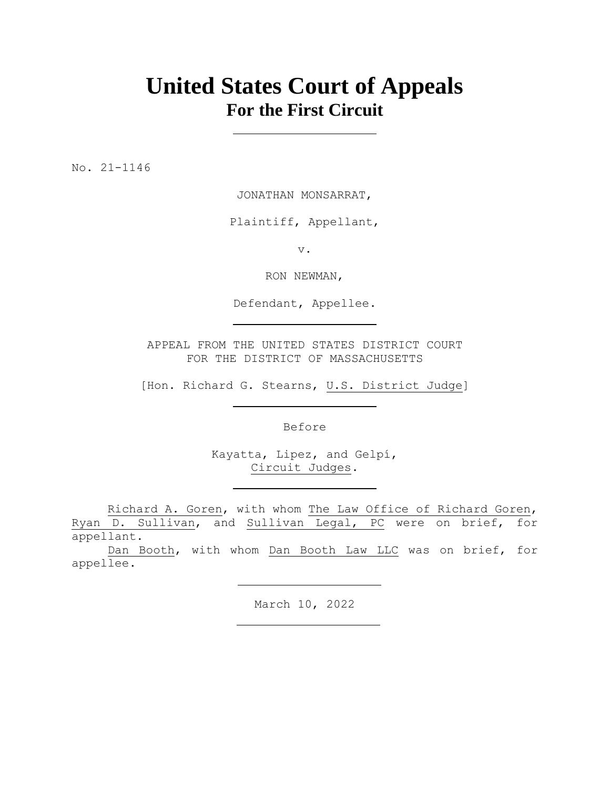# **United States Court of Appeals For the First Circuit**

No. 21-1146

JONATHAN MONSARRAT,

Plaintiff, Appellant,

v.

RON NEWMAN,

Defendant, Appellee.

APPEAL FROM THE UNITED STATES DISTRICT COURT FOR THE DISTRICT OF MASSACHUSETTS

[Hon. Richard G. Stearns, U.S. District Judge]

Before

Kayatta, Lipez, and Gelpí, Circuit Judges.

Richard A. Goren, with whom The Law Office of Richard Goren, Ryan D. Sullivan, and Sullivan Legal, PC were on brief, for appellant.

Dan Booth, with whom Dan Booth Law LLC was on brief, for appellee.

March 10, 2022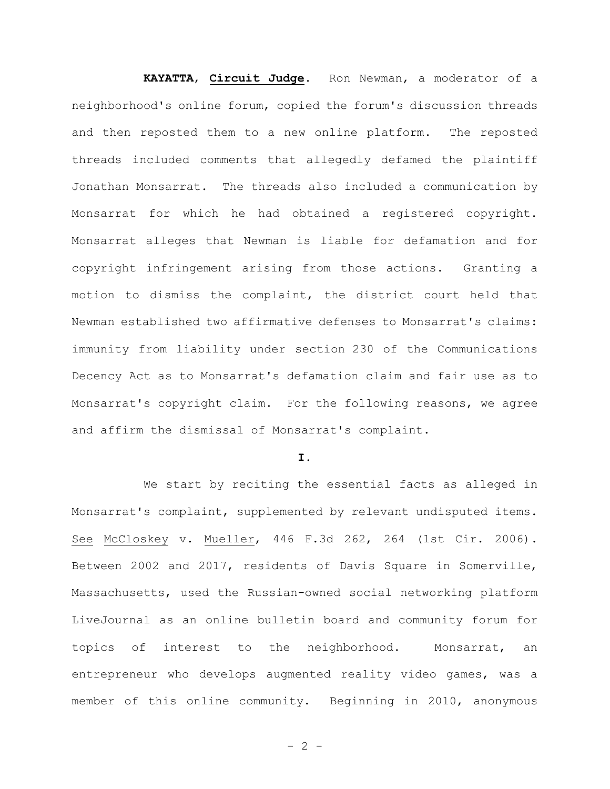**KAYATTA**, **Circuit Judge**. Ron Newman, a moderator of a neighborhood's online forum, copied the forum's discussion threads and then reposted them to a new online platform. The reposted threads included comments that allegedly defamed the plaintiff Jonathan Monsarrat. The threads also included a communication by Monsarrat for which he had obtained a registered copyright. Monsarrat alleges that Newman is liable for defamation and for copyright infringement arising from those actions. Granting a motion to dismiss the complaint, the district court held that Newman established two affirmative defenses to Monsarrat's claims: immunity from liability under section 230 of the Communications Decency Act as to Monsarrat's defamation claim and fair use as to Monsarrat's copyright claim. For the following reasons, we agree and affirm the dismissal of Monsarrat's complaint.

#### **I.**

We start by reciting the essential facts as alleged in Monsarrat's complaint, supplemented by relevant undisputed items. See McCloskey v. Mueller, 446 F.3d 262, 264 (1st Cir. 2006). Between 2002 and 2017, residents of Davis Square in Somerville, Massachusetts, used the Russian-owned social networking platform LiveJournal as an online bulletin board and community forum for topics of interest to the neighborhood. Monsarrat, an entrepreneur who develops augmented reality video games, was a member of this online community. Beginning in 2010, anonymous

 $- 2 -$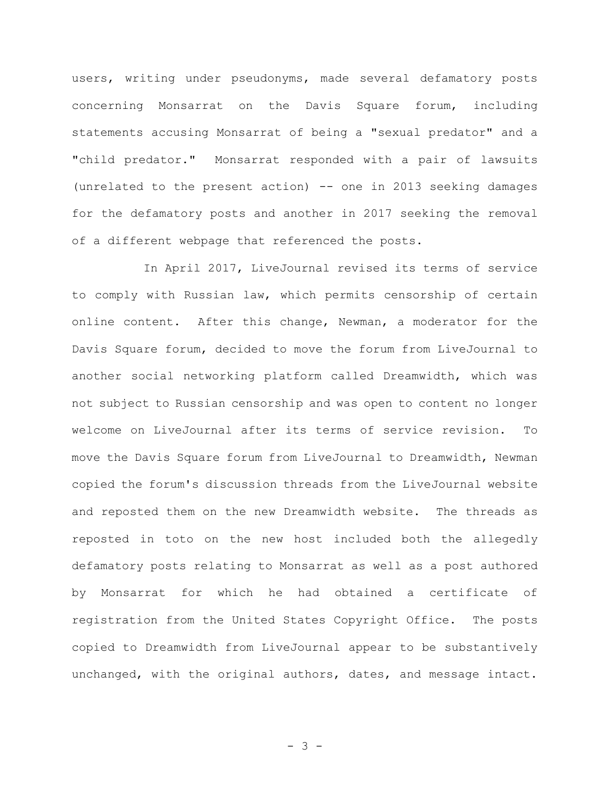users, writing under pseudonyms, made several defamatory posts concerning Monsarrat on the Davis Square forum, including statements accusing Monsarrat of being a "sexual predator" and a "child predator." Monsarrat responded with a pair of lawsuits (unrelated to the present action) -- one in 2013 seeking damages for the defamatory posts and another in 2017 seeking the removal of a different webpage that referenced the posts.

In April 2017, LiveJournal revised its terms of service to comply with Russian law, which permits censorship of certain online content. After this change, Newman, a moderator for the Davis Square forum, decided to move the forum from LiveJournal to another social networking platform called Dreamwidth, which was not subject to Russian censorship and was open to content no longer welcome on LiveJournal after its terms of service revision. To move the Davis Square forum from LiveJournal to Dreamwidth, Newman copied the forum's discussion threads from the LiveJournal website and reposted them on the new Dreamwidth website. The threads as reposted in toto on the new host included both the allegedly defamatory posts relating to Monsarrat as well as a post authored by Monsarrat for which he had obtained a certificate of registration from the United States Copyright Office. The posts copied to Dreamwidth from LiveJournal appear to be substantively unchanged, with the original authors, dates, and message intact.

- 3 -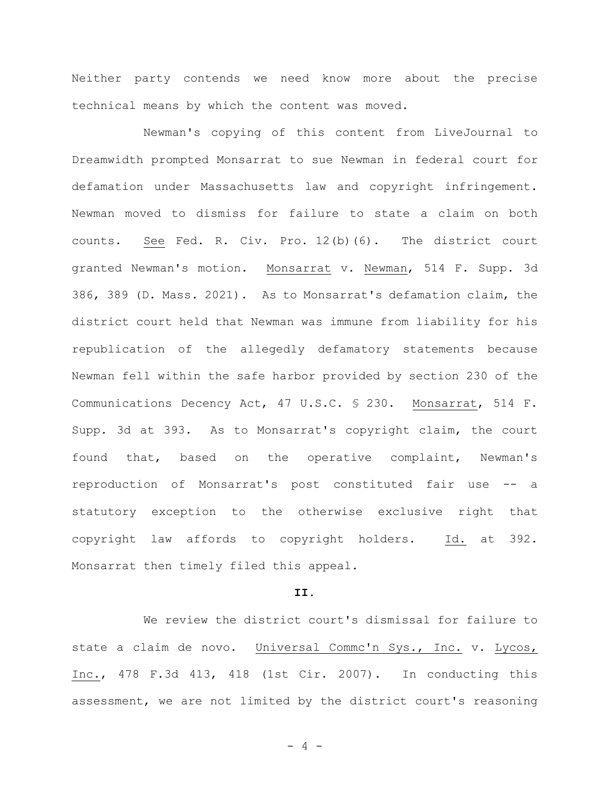Neither party contends we need know more about the precise technical means by which the content was moved.

Newman's copying of this content from LiveJournal to Dreamwidth prompted Monsarrat to sue Newman in federal court for defamation under Massachusetts law and copyright infringement. Newman moved to dismiss for failure to state a claim on both counts. See Fed. R. Civ. Pro. 12(b)(6). The district court granted Newman's motion. Monsarrat v. Newman, 514 F. Supp. 3d 386, 389 (D. Mass. 2021). As to Monsarrat's defamation claim, the district court held that Newman was immune from liability for his republication of the allegedly defamatory statements because Newman fell within the safe harbor provided by section 230 of the Communications Decency Act, 47 U.S.C. § 230. Monsarrat, 514 F. Supp. 3d at 393. As to Monsarrat's copyright claim, the court found that, based on the operative complaint, Newman's reproduction of Monsarrat's post constituted fair use -- a statutory exception to the otherwise exclusive right that copyright law affords to copyright holders. Id. at 392. Monsarrat then timely filed this appeal.

# **II.**

We review the district court's dismissal for failure to state a claim de novo. Universal Commc'n Sys., Inc. v. Lycos, Inc., 478 F.3d 413, 418 (1st Cir. 2007). In conducting this assessment, we are not limited by the district court's reasoning

 $- 4 -$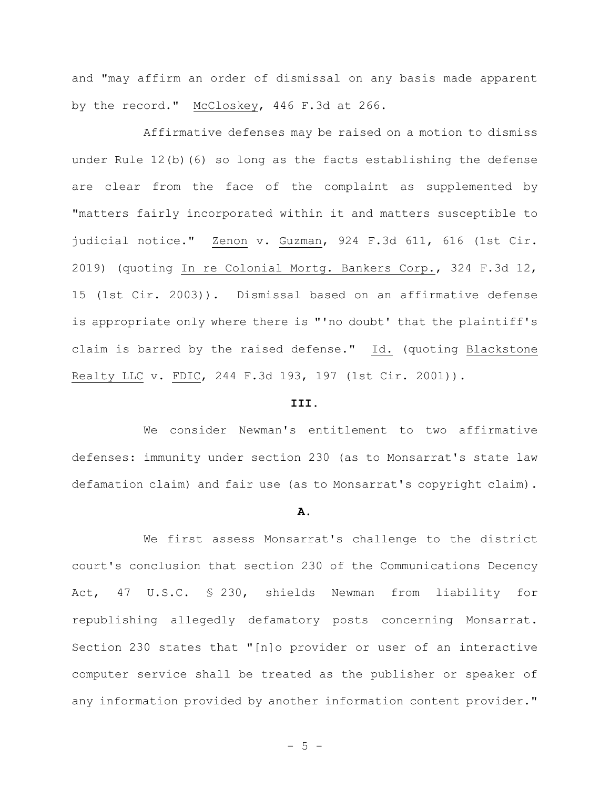and "may affirm an order of dismissal on any basis made apparent by the record." McCloskey, 446 F.3d at 266.

Affirmative defenses may be raised on a motion to dismiss under Rule 12(b)(6) so long as the facts establishing the defense are clear from the face of the complaint as supplemented by "matters fairly incorporated within it and matters susceptible to judicial notice." Zenon v. Guzman, 924 F.3d 611, 616 (1st Cir. 2019) (quoting In re Colonial Mortg. Bankers Corp., 324 F.3d 12, 15 (1st Cir. 2003)). Dismissal based on an affirmative defense is appropriate only where there is "'no doubt' that the plaintiff's claim is barred by the raised defense." Id. (quoting Blackstone Realty LLC v. FDIC, 244 F.3d 193, 197 (1st Cir. 2001)).

### **III.**

We consider Newman's entitlement to two affirmative defenses: immunity under section 230 (as to Monsarrat's state law defamation claim) and fair use (as to Monsarrat's copyright claim).

#### **A.**

We first assess Monsarrat's challenge to the district court's conclusion that section 230 of the Communications Decency Act, 47 U.S.C. § 230, shields Newman from liability for republishing allegedly defamatory posts concerning Monsarrat. Section 230 states that "[n]o provider or user of an interactive computer service shall be treated as the publisher or speaker of any information provided by another information content provider."

 $- 5 -$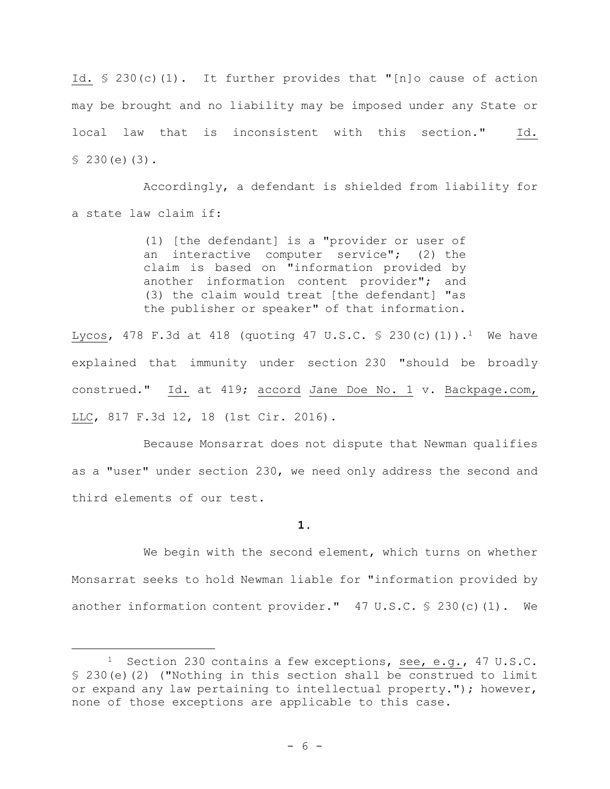Id. § 230(c)(1). It further provides that "[n]o cause of action may be brought and no liability may be imposed under any State or local law that is inconsistent with this section." Id. § 230(e)(3).

Accordingly, a defendant is shielded from liability for a state law claim if:

> (1) [the defendant] is a "provider or user of an interactive computer service"; (2) the claim is based on "information provided by another information content provider"; and (3) the claim would treat [the defendant] "as the publisher or speaker" of that information.

Lycos, 478 F.3d at 418 (quoting 47 U.S.C. § 230(c)(1)).<sup>1</sup> We have explained that immunity under section 230 "should be broadly construed." Id. at 419; accord Jane Doe No. 1 v. Backpage.com, LLC, 817 F.3d 12, 18 (1st Cir. 2016).

Because Monsarrat does not dispute that Newman qualifies as a "user" under section 230, we need only address the second and third elements of our test.

**1.**

We begin with the second element, which turns on whether Monsarrat seeks to hold Newman liable for "information provided by another information content provider." 47 U.S.C. § 230(c)(1). We

<sup>&</sup>lt;sup>1</sup> Section 230 contains a few exceptions, see, e.g., 47 U.S.C. § 230(e)(2) ("Nothing in this section shall be construed to limit or expand any law pertaining to intellectual property."); however, none of those exceptions are applicable to this case.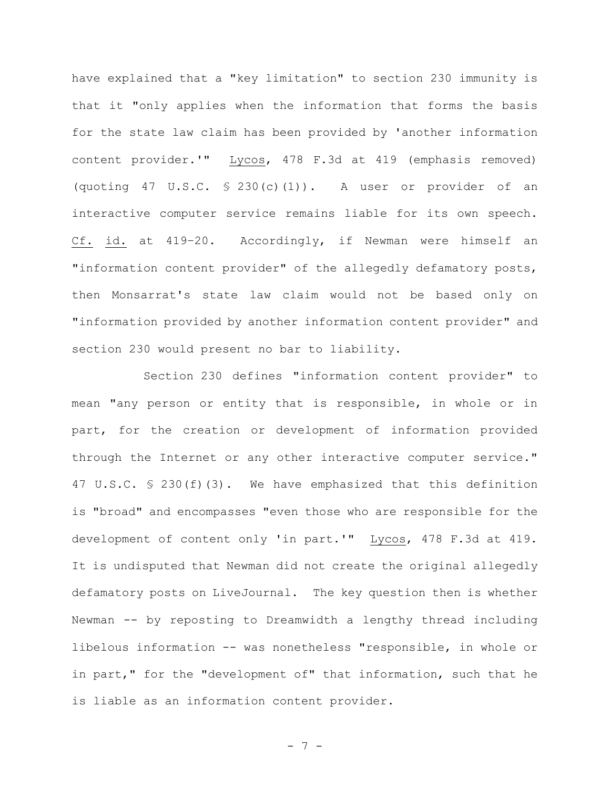have explained that a "key limitation" to section 230 immunity is that it "only applies when the information that forms the basis for the state law claim has been provided by 'another information content provider.'" Lycos, 478 F.3d at 419 (emphasis removed) (quoting 47 U.S.C.  $\frac{1}{2}$  230(c)(1)). A user or provider of an interactive computer service remains liable for its own speech. Cf. id. at 419–20. Accordingly, if Newman were himself an "information content provider" of the allegedly defamatory posts, then Monsarrat's state law claim would not be based only on "information provided by another information content provider" and section 230 would present no bar to liability.

Section 230 defines "information content provider" to mean "any person or entity that is responsible, in whole or in part, for the creation or development of information provided through the Internet or any other interactive computer service." 47 U.S.C. § 230(f)(3). We have emphasized that this definition is "broad" and encompasses "even those who are responsible for the development of content only 'in part.'" Lycos, 478 F.3d at 419. It is undisputed that Newman did not create the original allegedly defamatory posts on LiveJournal. The key question then is whether Newman -- by reposting to Dreamwidth a lengthy thread including libelous information -- was nonetheless "responsible, in whole or in part," for the "development of" that information, such that he is liable as an information content provider.

- 7 -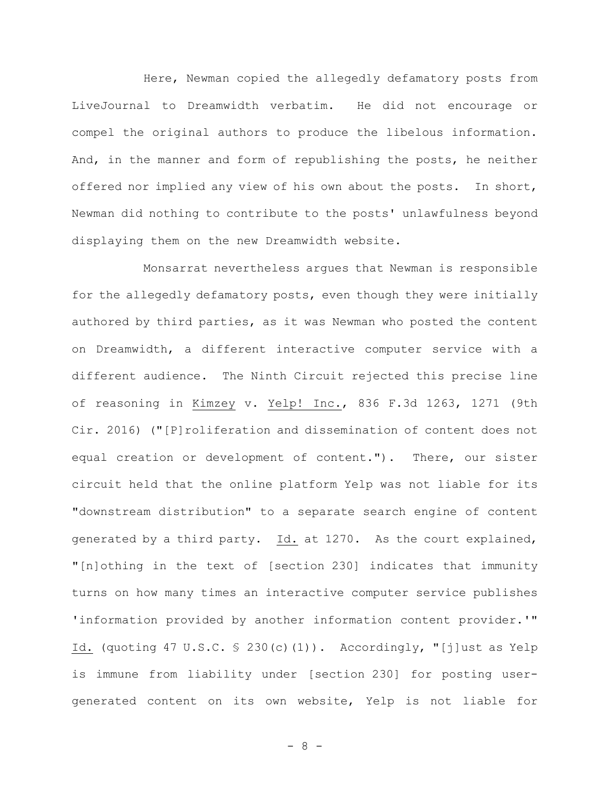Here, Newman copied the allegedly defamatory posts from LiveJournal to Dreamwidth verbatim. He did not encourage or compel the original authors to produce the libelous information. And, in the manner and form of republishing the posts, he neither offered nor implied any view of his own about the posts. In short, Newman did nothing to contribute to the posts' unlawfulness beyond displaying them on the new Dreamwidth website.

Monsarrat nevertheless argues that Newman is responsible for the allegedly defamatory posts, even though they were initially authored by third parties, as it was Newman who posted the content on Dreamwidth, a different interactive computer service with a different audience. The Ninth Circuit rejected this precise line of reasoning in Kimzey v. Yelp! Inc., 836 F.3d 1263, 1271 (9th Cir. 2016) ("[P]roliferation and dissemination of content does not equal creation or development of content."). There, our sister circuit held that the online platform Yelp was not liable for its "downstream distribution" to a separate search engine of content generated by a third party. Id. at 1270. As the court explained, "[n]othing in the text of [section 230] indicates that immunity turns on how many times an interactive computer service publishes 'information provided by another information content provider.'" Id. (quoting 47 U.S.C. § 230(c)(1)). Accordingly, "[j]ust as Yelp is immune from liability under [section 230] for posting usergenerated content on its own website, Yelp is not liable for

- 8 -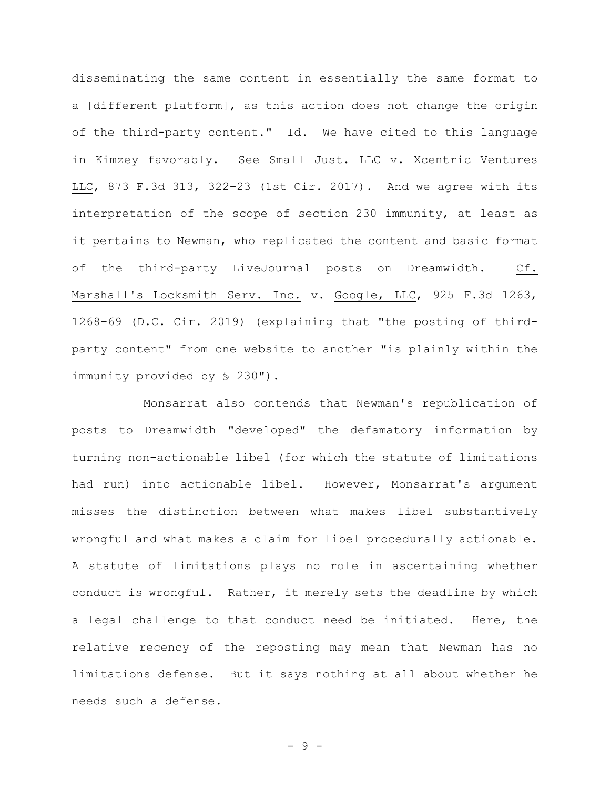disseminating the same content in essentially the same format to a [different platform], as this action does not change the origin of the third-party content." Id. We have cited to this language in Kimzey favorably. See Small Just. LLC v. Xcentric Ventures LLC, 873 F.3d 313, 322–23 (1st Cir. 2017). And we agree with its interpretation of the scope of section 230 immunity, at least as it pertains to Newman, who replicated the content and basic format of the third-party LiveJournal posts on Dreamwidth. Cf. Marshall's Locksmith Serv. Inc. v. Google, LLC, 925 F.3d 1263, 1268–69 (D.C. Cir. 2019) (explaining that "the posting of thirdparty content" from one website to another "is plainly within the immunity provided by § 230").

Monsarrat also contends that Newman's republication of posts to Dreamwidth "developed" the defamatory information by turning non-actionable libel (for which the statute of limitations had run) into actionable libel. However, Monsarrat's argument misses the distinction between what makes libel substantively wrongful and what makes a claim for libel procedurally actionable. A statute of limitations plays no role in ascertaining whether conduct is wrongful. Rather, it merely sets the deadline by which a legal challenge to that conduct need be initiated. Here, the relative recency of the reposting may mean that Newman has no limitations defense. But it says nothing at all about whether he needs such a defense.

- 9 -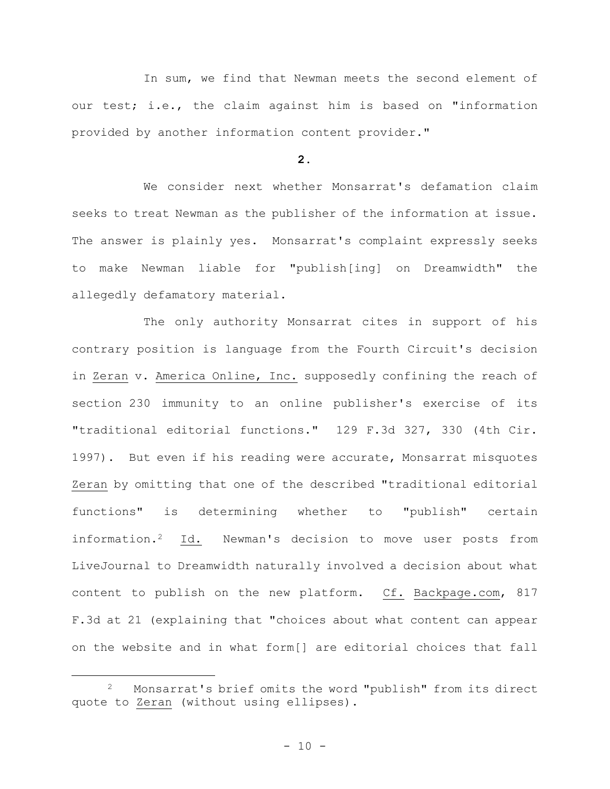In sum, we find that Newman meets the second element of our test; i.e., the claim against him is based on "information provided by another information content provider."

## **2.**

We consider next whether Monsarrat's defamation claim seeks to treat Newman as the publisher of the information at issue. The answer is plainly yes. Monsarrat's complaint expressly seeks to make Newman liable for "publish[ing] on Dreamwidth" the allegedly defamatory material.

The only authority Monsarrat cites in support of his contrary position is language from the Fourth Circuit's decision in Zeran v. America Online, Inc. supposedly confining the reach of section 230 immunity to an online publisher's exercise of its "traditional editorial functions." 129 F.3d 327, 330 (4th Cir. 1997). But even if his reading were accurate, Monsarrat misquotes Zeran by omitting that one of the described "traditional editorial functions" is determining whether to "publish" certain information.2 Id. Newman's decision to move user posts from LiveJournal to Dreamwidth naturally involved a decision about what content to publish on the new platform. Cf. Backpage.com, 817 F.3d at 21 (explaining that "choices about what content can appear on the website and in what form[] are editorial choices that fall

<sup>2</sup> Monsarrat's brief omits the word "publish" from its direct quote to Zeran (without using ellipses).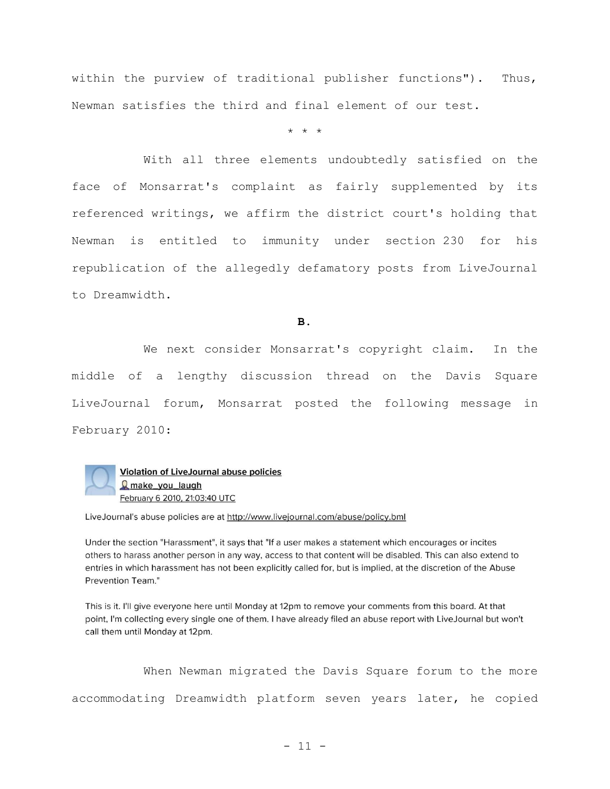within the purview of traditional publisher functions"). Thus, Newman satisfies the third and final element of our test.

\* \* \*

With all three elements undoubtedly satisfied on the face of Monsarrat's complaint as fairly supplemented by its referenced writings, we affirm the district court's holding that Newman is entitled to immunity under section 230 for his republication of the allegedly defamatory posts from LiveJournal to Dreamwidth.

**B.**

We next consider Monsarrat's copyright claim. In the middle of a lengthy discussion thread on the Davis Square LiveJournal forum, Monsarrat posted the following message in February 2010:



LiveJournal's abuse policies are at http://www.livejournal.com/abuse/policy.bml

Under the section "Harassment", it says that "If a user makes a statement which encourages or incites others to harass another person in any way, access to that content will be disabled. This can also extend to entries in which harassment has not been explicitly called for, but is implied, at the discretion of the Abuse Prevention Team."

This is it. I'll give everyone here until Monday at 12pm to remove your comments from this board. At that point, I'm collecting every single one of them. I have already filed an abuse report with LiveJournal but won't call them until Monday at 12pm.

When Newman migrated the Davis Square forum to the more accommodating Dreamwidth platform seven years later, he copied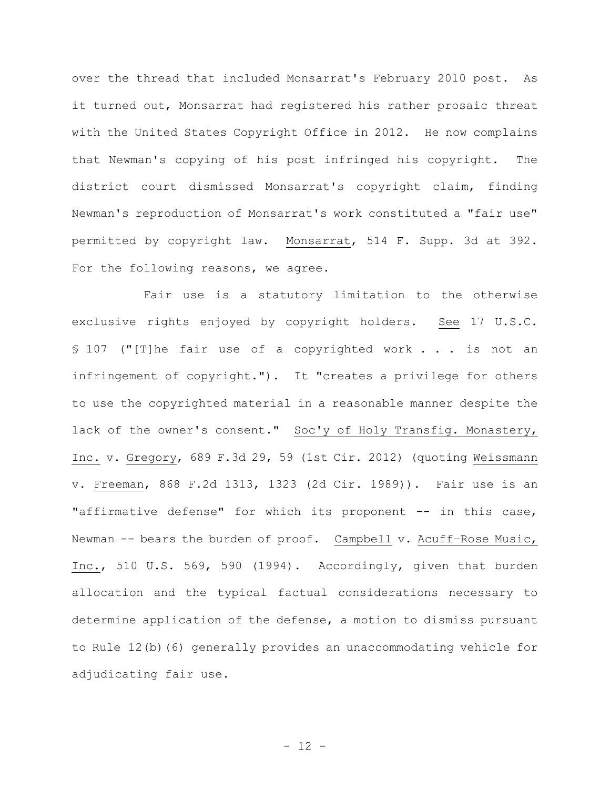over the thread that included Monsarrat's February 2010 post. As it turned out, Monsarrat had registered his rather prosaic threat with the United States Copyright Office in 2012. He now complains that Newman's copying of his post infringed his copyright. The district court dismissed Monsarrat's copyright claim, finding Newman's reproduction of Monsarrat's work constituted a "fair use" permitted by copyright law. Monsarrat, 514 F. Supp. 3d at 392. For the following reasons, we agree.

Fair use is a statutory limitation to the otherwise exclusive rights enjoyed by copyright holders. See 17 U.S.C. § 107 ("[T]he fair use of a copyrighted work . . . is not an infringement of copyright."). It "creates a privilege for others to use the copyrighted material in a reasonable manner despite the lack of the owner's consent." Soc'y of Holy Transfig. Monastery, Inc. v. Gregory, 689 F.3d 29, 59 (1st Cir. 2012) (quoting Weissmann v. Freeman, 868 F.2d 1313, 1323 (2d Cir. 1989)). Fair use is an "affirmative defense" for which its proponent -- in this case, Newman -- bears the burden of proof. Campbell v. Acuff-Rose Music, Inc., 510 U.S. 569, 590 (1994). Accordingly, given that burden allocation and the typical factual considerations necessary to determine application of the defense, a motion to dismiss pursuant to Rule 12(b)(6) generally provides an unaccommodating vehicle for adjudicating fair use.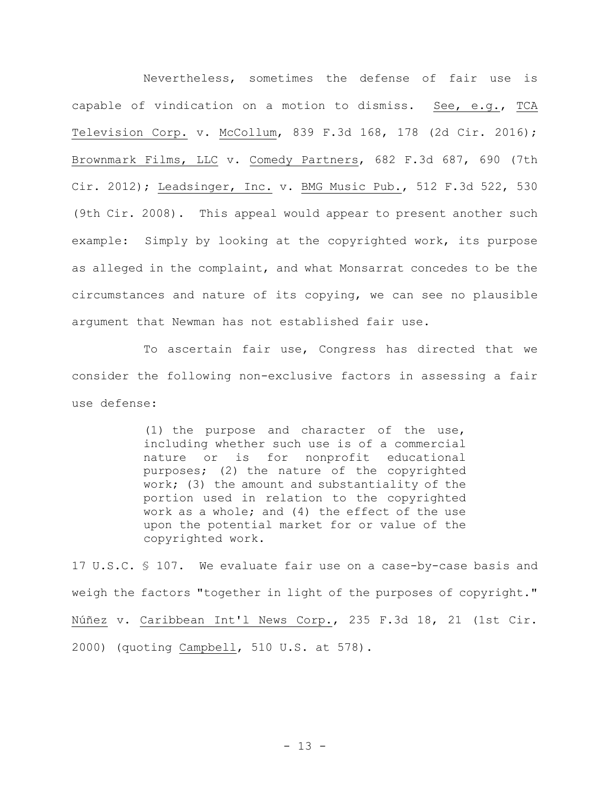Nevertheless, sometimes the defense of fair use is capable of vindication on a motion to dismiss. See, e.g., TCA Television Corp. v. McCollum, 839 F.3d 168, 178 (2d Cir. 2016); Brownmark Films, LLC v. Comedy Partners, 682 F.3d 687, 690 (7th Cir. 2012); Leadsinger, Inc. v. BMG Music Pub., 512 F.3d 522, 530 (9th Cir. 2008). This appeal would appear to present another such example: Simply by looking at the copyrighted work, its purpose as alleged in the complaint, and what Monsarrat concedes to be the circumstances and nature of its copying, we can see no plausible argument that Newman has not established fair use.

To ascertain fair use, Congress has directed that we consider the following non-exclusive factors in assessing a fair use defense:

> (1) the purpose and character of the use, including whether such use is of a commercial nature or is for nonprofit educational purposes; (2) the nature of the copyrighted work; (3) the amount and substantiality of the portion used in relation to the copyrighted work as a whole; and (4) the effect of the use upon the potential market for or value of the copyrighted work.

17 U.S.C. § 107. We evaluate fair use on a case-by-case basis and weigh the factors "together in light of the purposes of copyright." Núñez v. Caribbean Int'l News Corp., 235 F.3d 18, 21 (1st Cir. 2000) (quoting Campbell, 510 U.S. at 578).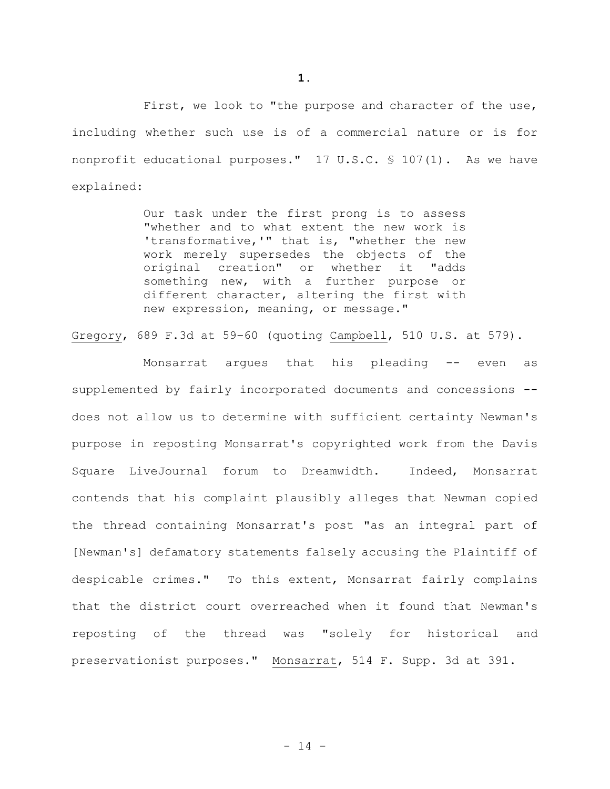**1.**

First, we look to "the purpose and character of the use, including whether such use is of a commercial nature or is for nonprofit educational purposes." 17 U.S.C. § 107(1). As we have explained:

> Our task under the first prong is to assess "whether and to what extent the new work is 'transformative,'" that is, "whether the new work merely supersedes the objects of the original creation" or whether it "adds something new, with a further purpose or different character, altering the first with new expression, meaning, or message."

Gregory, 689 F.3d at 59–60 (quoting Campbell, 510 U.S. at 579).

Monsarrat argues that his pleading -- even as supplemented by fairly incorporated documents and concessions - does not allow us to determine with sufficient certainty Newman's purpose in reposting Monsarrat's copyrighted work from the Davis Square LiveJournal forum to Dreamwidth. Indeed, Monsarrat contends that his complaint plausibly alleges that Newman copied the thread containing Monsarrat's post "as an integral part of [Newman's] defamatory statements falsely accusing the Plaintiff of despicable crimes." To this extent, Monsarrat fairly complains that the district court overreached when it found that Newman's reposting of the thread was "solely for historical and preservationist purposes." Monsarrat, 514 F. Supp. 3d at 391.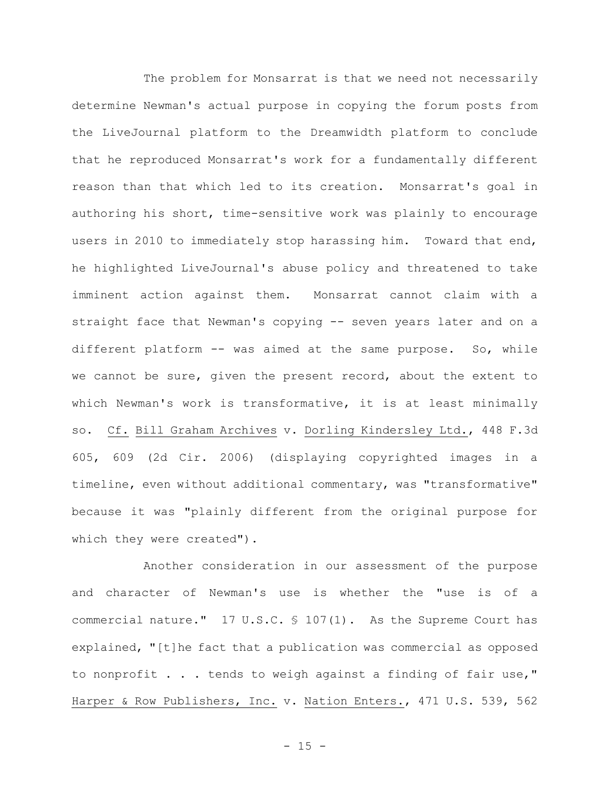The problem for Monsarrat is that we need not necessarily determine Newman's actual purpose in copying the forum posts from the LiveJournal platform to the Dreamwidth platform to conclude that he reproduced Monsarrat's work for a fundamentally different reason than that which led to its creation. Monsarrat's goal in authoring his short, time-sensitive work was plainly to encourage users in 2010 to immediately stop harassing him. Toward that end, he highlighted LiveJournal's abuse policy and threatened to take imminent action against them. Monsarrat cannot claim with a straight face that Newman's copying -- seven years later and on a different platform -- was aimed at the same purpose. So, while we cannot be sure, given the present record, about the extent to which Newman's work is transformative, it is at least minimally so. Cf. Bill Graham Archives v. Dorling Kindersley Ltd., 448 F.3d 605, 609 (2d Cir. 2006) (displaying copyrighted images in a timeline, even without additional commentary, was "transformative" because it was "plainly different from the original purpose for which they were created").

Another consideration in our assessment of the purpose and character of Newman's use is whether the "use is of a commercial nature." 17 U.S.C. § 107(1). As the Supreme Court has explained, "[t]he fact that a publication was commercial as opposed to nonprofit . . . tends to weigh against a finding of fair use," Harper & Row Publishers, Inc. v. Nation Enters., 471 U.S. 539, 562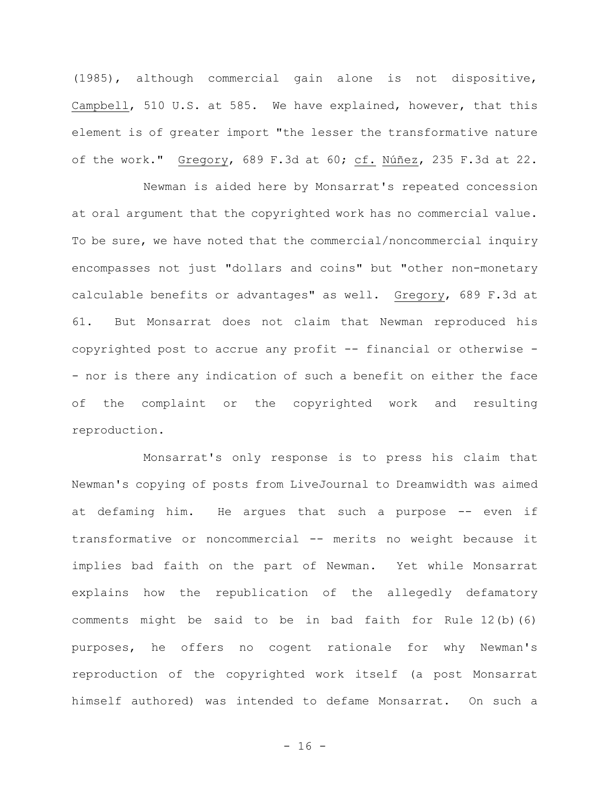(1985), although commercial gain alone is not dispositive, Campbell, 510 U.S. at 585. We have explained, however, that this element is of greater import "the lesser the transformative nature of the work." Gregory, 689 F.3d at 60; cf. Núñez, 235 F.3d at 22.

Newman is aided here by Monsarrat's repeated concession at oral argument that the copyrighted work has no commercial value. To be sure, we have noted that the commercial/noncommercial inquiry encompasses not just "dollars and coins" but "other non-monetary calculable benefits or advantages" as well. Gregory, 689 F.3d at 61. But Monsarrat does not claim that Newman reproduced his copyrighted post to accrue any profit -- financial or otherwise - - nor is there any indication of such a benefit on either the face of the complaint or the copyrighted work and resulting reproduction.

Monsarrat's only response is to press his claim that Newman's copying of posts from LiveJournal to Dreamwidth was aimed at defaming him. He argues that such a purpose -- even if transformative or noncommercial -- merits no weight because it implies bad faith on the part of Newman. Yet while Monsarrat explains how the republication of the allegedly defamatory comments might be said to be in bad faith for Rule 12(b)(6) purposes, he offers no cogent rationale for why Newman's reproduction of the copyrighted work itself (a post Monsarrat himself authored) was intended to defame Monsarrat. On such a

 $- 16 -$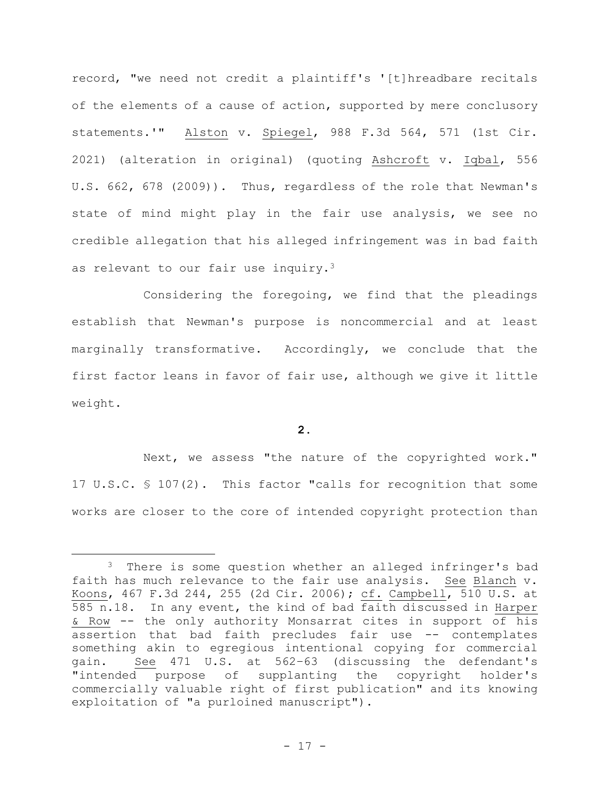record, "we need not credit a plaintiff's '[t]hreadbare recitals of the elements of a cause of action, supported by mere conclusory statements.'" Alston v. Spiegel, 988 F.3d 564, 571 (1st Cir. 2021) (alteration in original) (quoting Ashcroft v. Iqbal, 556 U.S. 662, 678 (2009)). Thus, regardless of the role that Newman's state of mind might play in the fair use analysis, we see no credible allegation that his alleged infringement was in bad faith as relevant to our fair use inquiry.<sup>3</sup>

Considering the foregoing, we find that the pleadings establish that Newman's purpose is noncommercial and at least marginally transformative. Accordingly, we conclude that the first factor leans in favor of fair use, although we give it little weight.

**2.**

Next, we assess "the nature of the copyrighted work." 17 U.S.C. § 107(2). This factor "calls for recognition that some works are closer to the core of intended copyright protection than

<sup>&</sup>lt;sup>3</sup> There is some question whether an alleged infringer's bad faith has much relevance to the fair use analysis. See Blanch v. Koons, 467 F.3d 244, 255 (2d Cir. 2006); cf. Campbell, 510 U.S. at 585 n.18. In any event, the kind of bad faith discussed in Harper & Row -- the only authority Monsarrat cites in support of his assertion that bad faith precludes fair use -- contemplates something akin to egregious intentional copying for commercial gain. See 471 U.S. at 562–63 (discussing the defendant's "intended purpose of supplanting the copyright holder's commercially valuable right of first publication" and its knowing exploitation of "a purloined manuscript").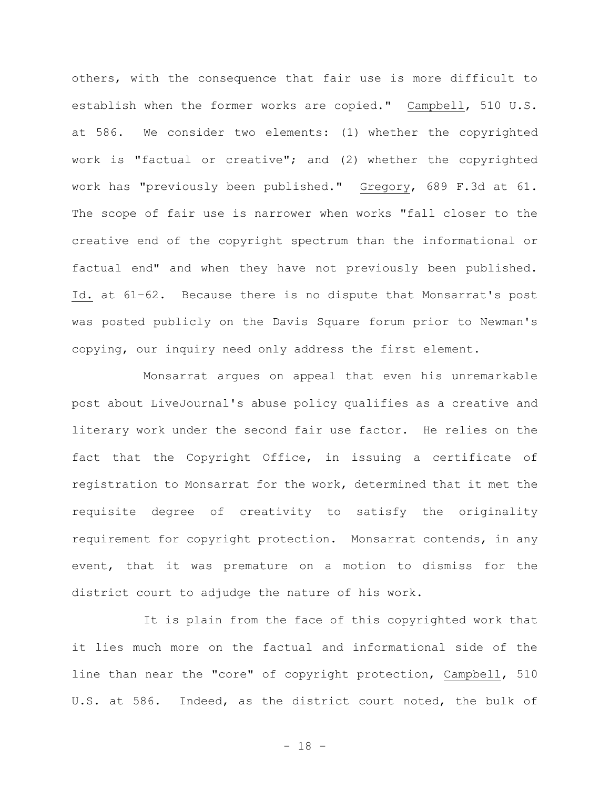others, with the consequence that fair use is more difficult to establish when the former works are copied." Campbell, 510 U.S. at 586. We consider two elements: (1) whether the copyrighted work is "factual or creative"; and (2) whether the copyrighted work has "previously been published." Gregory, 689 F.3d at 61. The scope of fair use is narrower when works "fall closer to the creative end of the copyright spectrum than the informational or factual end" and when they have not previously been published. Id. at 61–62. Because there is no dispute that Monsarrat's post was posted publicly on the Davis Square forum prior to Newman's copying, our inquiry need only address the first element.

Monsarrat argues on appeal that even his unremarkable post about LiveJournal's abuse policy qualifies as a creative and literary work under the second fair use factor. He relies on the fact that the Copyright Office, in issuing a certificate of registration to Monsarrat for the work, determined that it met the requisite degree of creativity to satisfy the originality requirement for copyright protection. Monsarrat contends, in any event, that it was premature on a motion to dismiss for the district court to adjudge the nature of his work.

It is plain from the face of this copyrighted work that it lies much more on the factual and informational side of the line than near the "core" of copyright protection, Campbell, 510 U.S. at 586. Indeed, as the district court noted, the bulk of

- 18 -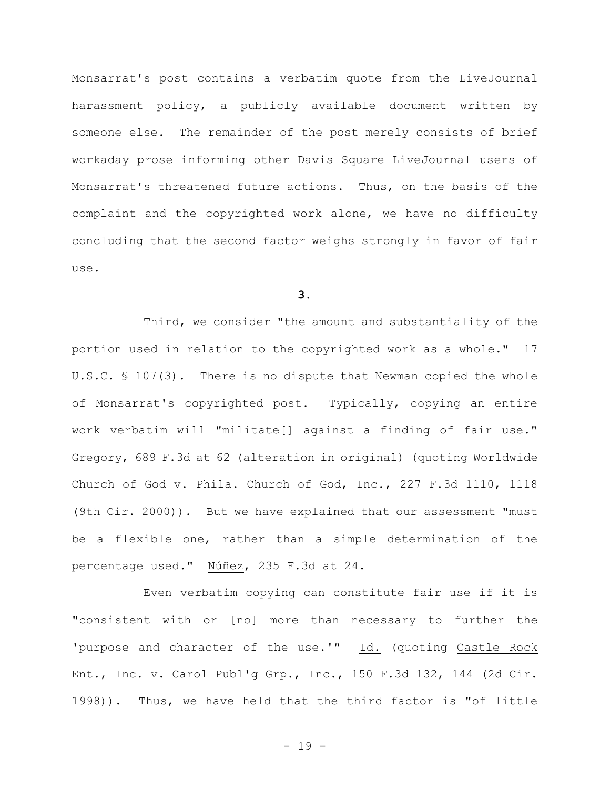Monsarrat's post contains a verbatim quote from the LiveJournal harassment policy, a publicly available document written by someone else. The remainder of the post merely consists of brief workaday prose informing other Davis Square LiveJournal users of Monsarrat's threatened future actions. Thus, on the basis of the complaint and the copyrighted work alone, we have no difficulty concluding that the second factor weighs strongly in favor of fair use.

**3.**

Third, we consider "the amount and substantiality of the portion used in relation to the copyrighted work as a whole." 17 U.S.C. § 107(3). There is no dispute that Newman copied the whole of Monsarrat's copyrighted post. Typically, copying an entire work verbatim will "militate[] against a finding of fair use." Gregory, 689 F.3d at 62 (alteration in original) (quoting Worldwide Church of God v. Phila. Church of God, Inc., 227 F.3d 1110, 1118 (9th Cir. 2000)). But we have explained that our assessment "must be a flexible one, rather than a simple determination of the percentage used." Núñez, 235 F.3d at 24.

Even verbatim copying can constitute fair use if it is "consistent with or [no] more than necessary to further the 'purpose and character of the use.'" Id. (quoting Castle Rock Ent., Inc. v. Carol Publ'g Grp., Inc., 150 F.3d 132, 144 (2d Cir. 1998)). Thus, we have held that the third factor is "of little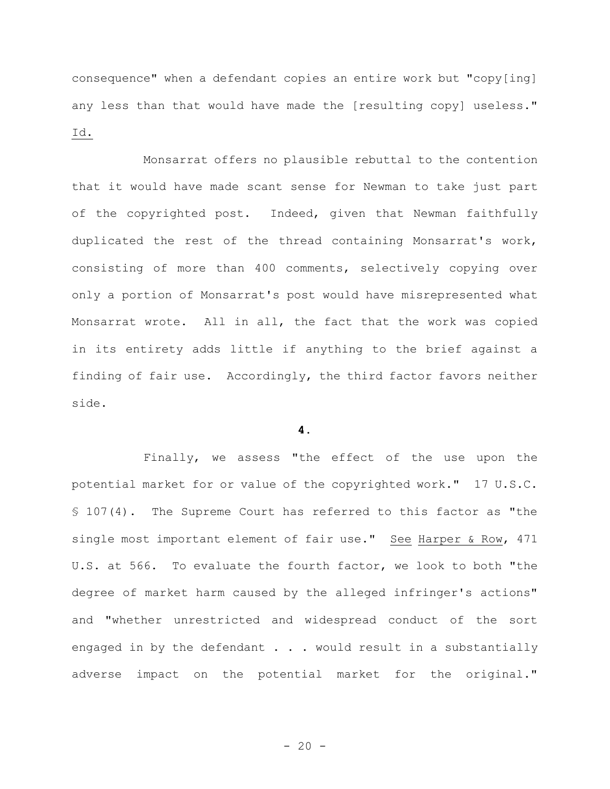consequence" when a defendant copies an entire work but "copy[ing] any less than that would have made the [resulting copy] useless." Id.

Monsarrat offers no plausible rebuttal to the contention that it would have made scant sense for Newman to take just part of the copyrighted post. Indeed, given that Newman faithfully duplicated the rest of the thread containing Monsarrat's work, consisting of more than 400 comments, selectively copying over only a portion of Monsarrat's post would have misrepresented what Monsarrat wrote. All in all, the fact that the work was copied in its entirety adds little if anything to the brief against a finding of fair use. Accordingly, the third factor favors neither side.

## **4.**

Finally, we assess "the effect of the use upon the potential market for or value of the copyrighted work." 17 U.S.C. § 107(4). The Supreme Court has referred to this factor as "the single most important element of fair use." See Harper & Row, 471 U.S. at 566. To evaluate the fourth factor, we look to both "the degree of market harm caused by the alleged infringer's actions" and "whether unrestricted and widespread conduct of the sort engaged in by the defendant . . . would result in a substantially adverse impact on the potential market for the original."

 $- 20 -$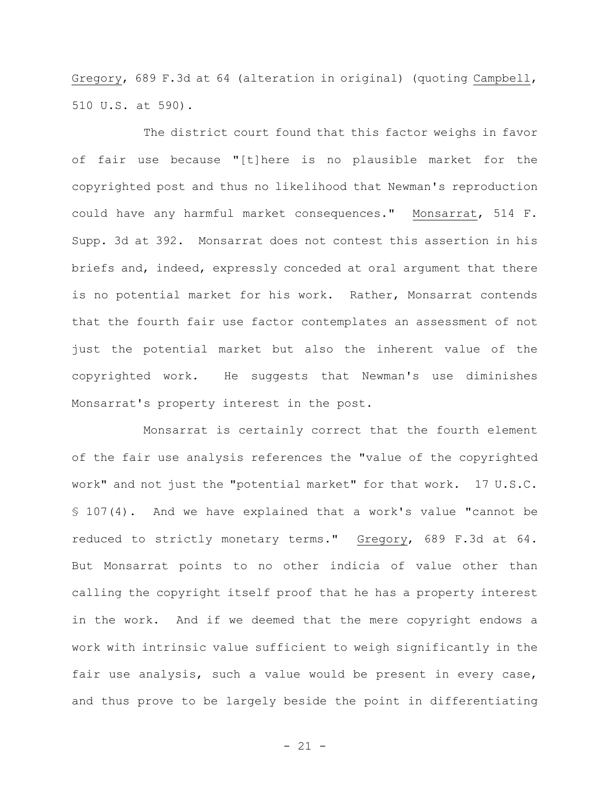Gregory, 689 F.3d at 64 (alteration in original) (quoting Campbell, 510 U.S. at 590).

The district court found that this factor weighs in favor of fair use because "[t]here is no plausible market for the copyrighted post and thus no likelihood that Newman's reproduction could have any harmful market consequences." Monsarrat, 514 F. Supp. 3d at 392. Monsarrat does not contest this assertion in his briefs and, indeed, expressly conceded at oral argument that there is no potential market for his work. Rather, Monsarrat contends that the fourth fair use factor contemplates an assessment of not just the potential market but also the inherent value of the copyrighted work. He suggests that Newman's use diminishes Monsarrat's property interest in the post.

Monsarrat is certainly correct that the fourth element of the fair use analysis references the "value of the copyrighted work" and not just the "potential market" for that work. 17 U.S.C. § 107(4). And we have explained that a work's value "cannot be reduced to strictly monetary terms." Gregory, 689 F.3d at 64. But Monsarrat points to no other indicia of value other than calling the copyright itself proof that he has a property interest in the work. And if we deemed that the mere copyright endows a work with intrinsic value sufficient to weigh significantly in the fair use analysis, such a value would be present in every case, and thus prove to be largely beside the point in differentiating

- 21 -